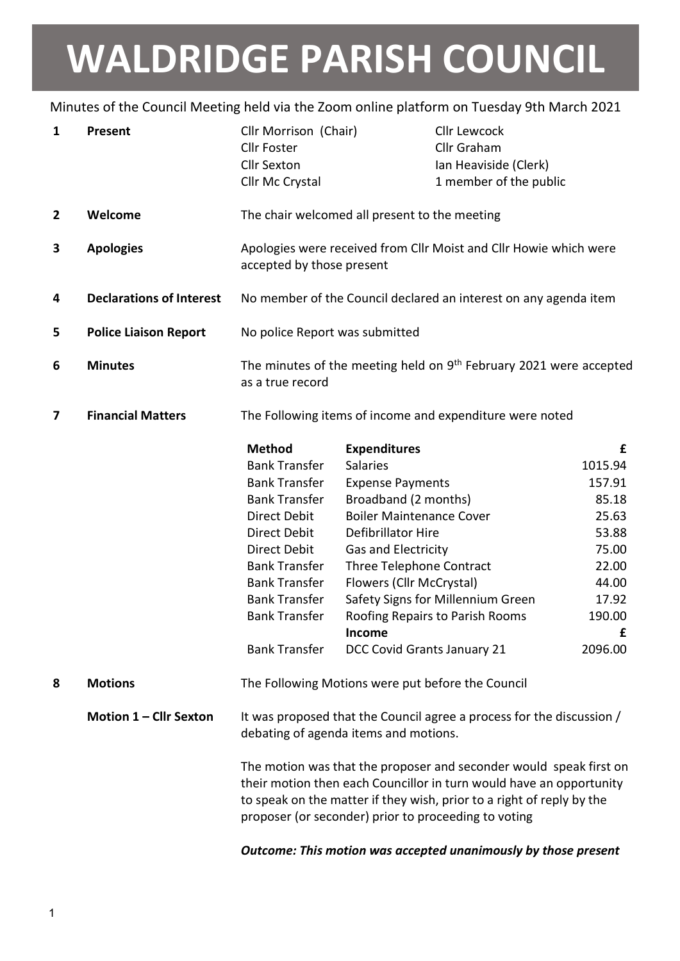## WALDRIDGE PARISH COUNCIL

## Minutes of the Council Meeting held via the Zoom online platform on Tuesday 9th March 2021

| 1              | <b>Present</b>                  | Cllr Morrison (Chair)<br><b>Cllr Foster</b><br><b>Cllr Sexton</b><br>Cllr Mc Crystal                                                                                                                                                                                                                             |                                                                                                                                                                                                                                                                                   | <b>Cllr Lewcock</b><br>Cllr Graham<br>Ian Heaviside (Clerk)<br>1 member of the public |                                                                                                                 |
|----------------|---------------------------------|------------------------------------------------------------------------------------------------------------------------------------------------------------------------------------------------------------------------------------------------------------------------------------------------------------------|-----------------------------------------------------------------------------------------------------------------------------------------------------------------------------------------------------------------------------------------------------------------------------------|---------------------------------------------------------------------------------------|-----------------------------------------------------------------------------------------------------------------|
| $\overline{2}$ | Welcome                         | The chair welcomed all present to the meeting                                                                                                                                                                                                                                                                    |                                                                                                                                                                                                                                                                                   |                                                                                       |                                                                                                                 |
| 3              | <b>Apologies</b>                | Apologies were received from Cllr Moist and Cllr Howie which were<br>accepted by those present                                                                                                                                                                                                                   |                                                                                                                                                                                                                                                                                   |                                                                                       |                                                                                                                 |
| 4              | <b>Declarations of Interest</b> | No member of the Council declared an interest on any agenda item                                                                                                                                                                                                                                                 |                                                                                                                                                                                                                                                                                   |                                                                                       |                                                                                                                 |
| 5              | <b>Police Liaison Report</b>    | No police Report was submitted                                                                                                                                                                                                                                                                                   |                                                                                                                                                                                                                                                                                   |                                                                                       |                                                                                                                 |
| 6              | <b>Minutes</b>                  | The minutes of the meeting held on 9 <sup>th</sup> February 2021 were accepted<br>as a true record                                                                                                                                                                                                               |                                                                                                                                                                                                                                                                                   |                                                                                       |                                                                                                                 |
| 7              | <b>Financial Matters</b>        | The Following items of income and expenditure were noted                                                                                                                                                                                                                                                         |                                                                                                                                                                                                                                                                                   |                                                                                       |                                                                                                                 |
|                |                                 | <b>Method</b><br><b>Bank Transfer</b><br><b>Bank Transfer</b><br><b>Bank Transfer</b><br><b>Direct Debit</b><br>Direct Debit<br>Direct Debit<br><b>Bank Transfer</b><br><b>Bank Transfer</b><br><b>Bank Transfer</b><br><b>Bank Transfer</b><br><b>Bank Transfer</b>                                             | <b>Expenditures</b><br><b>Salaries</b><br><b>Expense Payments</b><br>Broadband (2 months)<br><b>Boiler Maintenance Cover</b><br>Defibrillator Hire<br>Gas and Electricity<br>Three Telephone Contract<br>Flowers (Cllr McCrystal)<br><b>Income</b><br>DCC Covid Grants January 21 | Safety Signs for Millennium Green<br>Roofing Repairs to Parish Rooms                  | £<br>1015.94<br>157.91<br>85.18<br>25.63<br>53.88<br>75.00<br>22.00<br>44.00<br>17.92<br>190.00<br>£<br>2096.00 |
| 8              | <b>Motions</b>                  | The Following Motions were put before the Council<br>It was proposed that the Council agree a process for the discussion /<br>debating of agenda items and motions.<br>The motion was that the proposer and seconder would speak first on<br>their motion then each Councillor in turn would have an opportunity |                                                                                                                                                                                                                                                                                   |                                                                                       |                                                                                                                 |
|                | Motion 1 - Cllr Sexton          |                                                                                                                                                                                                                                                                                                                  |                                                                                                                                                                                                                                                                                   |                                                                                       |                                                                                                                 |
|                |                                 | to speak on the matter if they wish, prior to a right of reply by the<br>proposer (or seconder) prior to proceeding to voting                                                                                                                                                                                    |                                                                                                                                                                                                                                                                                   |                                                                                       |                                                                                                                 |

Outcome: This motion was accepted unanimously by those present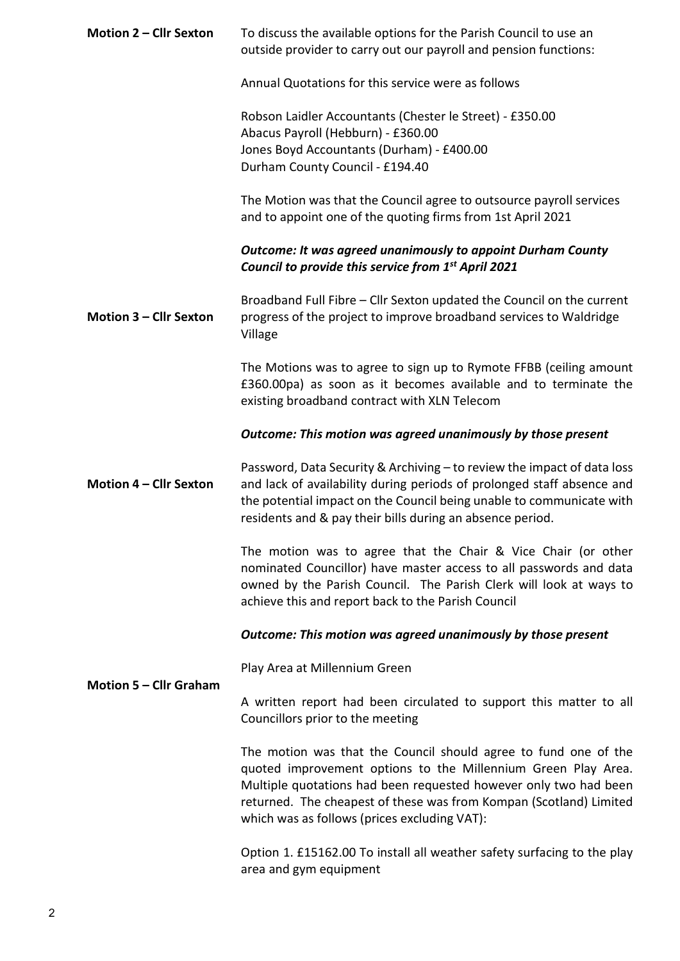| Motion 2 - Cllr Sexton | To discuss the available options for the Parish Council to use an<br>outside provider to carry out our payroll and pension functions:                                                                                                                                                                                      |  |  |
|------------------------|----------------------------------------------------------------------------------------------------------------------------------------------------------------------------------------------------------------------------------------------------------------------------------------------------------------------------|--|--|
|                        | Annual Quotations for this service were as follows                                                                                                                                                                                                                                                                         |  |  |
|                        | Robson Laidler Accountants (Chester le Street) - £350.00<br>Abacus Payroll (Hebburn) - £360.00<br>Jones Boyd Accountants (Durham) - £400.00<br>Durham County Council - £194.40                                                                                                                                             |  |  |
|                        | The Motion was that the Council agree to outsource payroll services<br>and to appoint one of the quoting firms from 1st April 2021                                                                                                                                                                                         |  |  |
|                        | <b>Outcome: It was agreed unanimously to appoint Durham County</b><br>Council to provide this service from 1 <sup>st</sup> April 2021                                                                                                                                                                                      |  |  |
| Motion 3 - Cllr Sexton | Broadband Full Fibre - Cllr Sexton updated the Council on the current<br>progress of the project to improve broadband services to Waldridge<br>Village                                                                                                                                                                     |  |  |
|                        | The Motions was to agree to sign up to Rymote FFBB (ceiling amount<br>£360.00pa) as soon as it becomes available and to terminate the<br>existing broadband contract with XLN Telecom                                                                                                                                      |  |  |
|                        | Outcome: This motion was agreed unanimously by those present                                                                                                                                                                                                                                                               |  |  |
| Motion 4 - Cllr Sexton | Password, Data Security & Archiving - to review the impact of data loss<br>and lack of availability during periods of prolonged staff absence and<br>the potential impact on the Council being unable to communicate with<br>residents and & pay their bills during an absence period.                                     |  |  |
|                        | The motion was to agree that the Chair & Vice Chair (or other<br>nominated Councillor) have master access to all passwords and data<br>owned by the Parish Council. The Parish Clerk will look at ways to<br>achieve this and report back to the Parish Council                                                            |  |  |
|                        | Outcome: This motion was agreed unanimously by those present                                                                                                                                                                                                                                                               |  |  |
|                        | Play Area at Millennium Green                                                                                                                                                                                                                                                                                              |  |  |
| Motion 5 - Cllr Graham | A written report had been circulated to support this matter to all<br>Councillors prior to the meeting                                                                                                                                                                                                                     |  |  |
|                        | The motion was that the Council should agree to fund one of the<br>quoted improvement options to the Millennium Green Play Area.<br>Multiple quotations had been requested however only two had been<br>returned. The cheapest of these was from Kompan (Scotland) Limited<br>which was as follows (prices excluding VAT): |  |  |
|                        | Option 1. £15162.00 To install all weather safety surfacing to the play<br>area and gym equipment                                                                                                                                                                                                                          |  |  |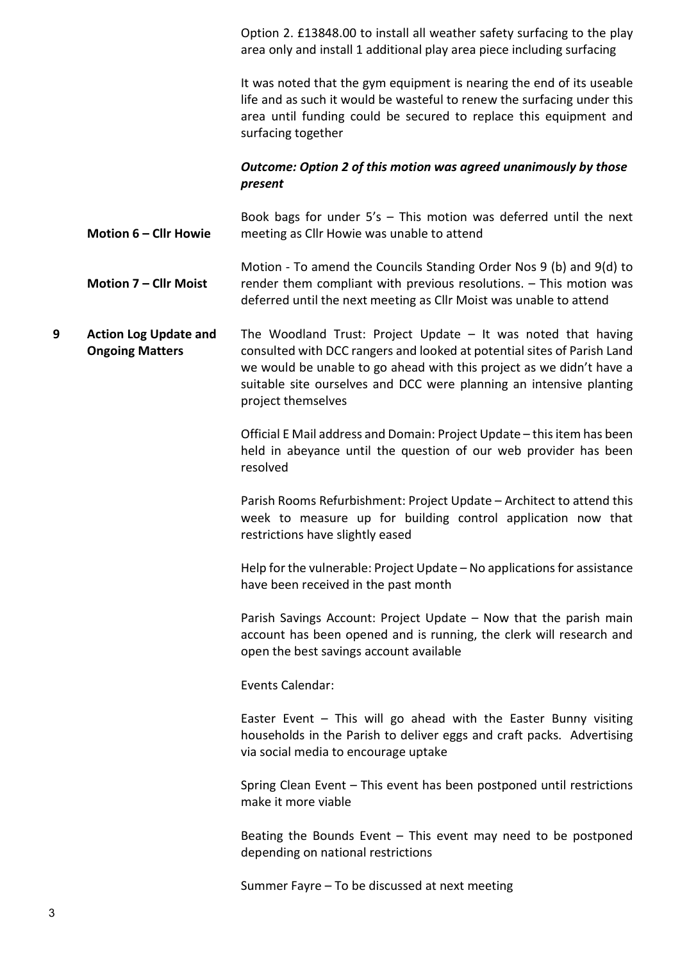Option 2. £13848.00 to install all weather safety surfacing to the play area only and install 1 additional play area piece including surfacing

It was noted that the gym equipment is nearing the end of its useable life and as such it would be wasteful to renew the surfacing under this area until funding could be secured to replace this equipment and surfacing together

## Outcome: Option 2 of this motion was agreed unanimously by those present

Motion 6 – Cllr Howie Book bags for under 5's – This motion was deferred until the next meeting as Cllr Howie was unable to attend

Motion 7 – Cllr Moist Motion - To amend the Councils Standing Order Nos 9 (b) and 9(d) to render them compliant with previous resolutions. – This motion was deferred until the next meeting as Cllr Moist was unable to attend

9 Action Log Update and Ongoing Matters The Woodland Trust: Project Update – It was noted that having consulted with DCC rangers and looked at potential sites of Parish Land we would be unable to go ahead with this project as we didn't have a suitable site ourselves and DCC were planning an intensive planting project themselves

> Official E Mail address and Domain: Project Update – this item has been held in abeyance until the question of our web provider has been resolved

> Parish Rooms Refurbishment: Project Update – Architect to attend this week to measure up for building control application now that restrictions have slightly eased

> Help for the vulnerable: Project Update – No applications for assistance have been received in the past month

> Parish Savings Account: Project Update – Now that the parish main account has been opened and is running, the clerk will research and open the best savings account available

Events Calendar:

Easter Event – This will go ahead with the Easter Bunny visiting households in the Parish to deliver eggs and craft packs. Advertising via social media to encourage uptake

Spring Clean Event – This event has been postponed until restrictions make it more viable

Beating the Bounds Event  $-$  This event may need to be postponed depending on national restrictions

Summer Fayre – To be discussed at next meeting